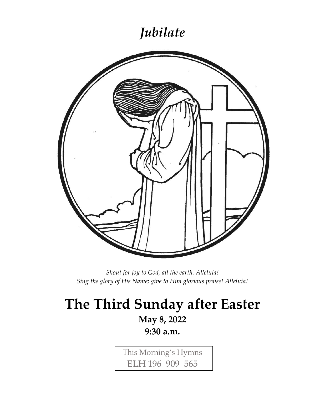### *Jubilate*



*Shout for joy to God, all the earth. Alleluia! Sing the glory of His Name; give to Him glorious praise! Alleluia!*

# **The Third Sunday after Easter**

### **May 8, 2022**

**9:30 a.m.**

This Morning's Hymns ELH 196 909 565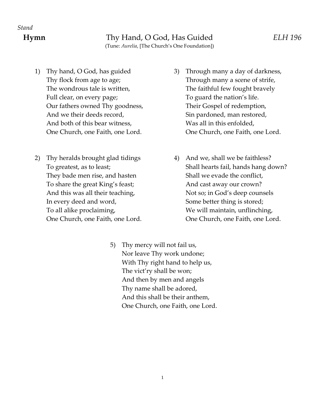- Full clear, on every page; To guard the nation's life. Our fathers owned Thy goodness, Their Gospel of redemption, And we their deeds record, Sin pardoned, man restored, And both of this bear witness, Was all in this enfolded,
- 2) Thy heralds brought glad tidings 4) And we, shall we be faithless? They bade men rise, and hasten Shall we evade the conflict, To share the great King's feast; And cast away our crown? In every deed and word, Some better thing is stored;
- 1) Thy hand, O God, has guided 3) Through many a day of darkness, Thy flock from age to age; Through many a scene of strife, The wondrous tale is written, The faithful few fought bravely One Church, one Faith, one Lord. One Church, one Faith, one Lord.
	- To greatest, as to least; The shall hearts fail, hands hang down? And this was all their teaching, Not so; in God's deep counsels To all alike proclaiming, To all maintain, unflinching, One Church, one Faith, one Lord. One Church, one Faith, one Lord.
		- 5) Thy mercy will not fail us, Nor leave Thy work undone; With Thy right hand to help us, The vict'ry shall be won; And then by men and angels Thy name shall be adored, And this shall be their anthem, One Church, one Faith, one Lord.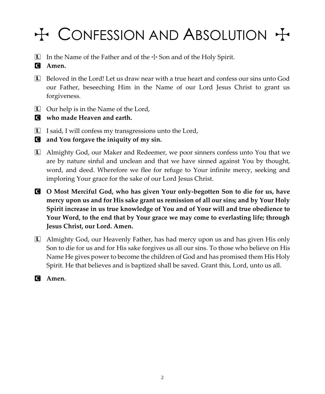# $H$  CONFESSION AND ABSOLUTION  $H$

- $\Box$  In the Name of the Father and of the  $\div$  Son and of the Holy Spirit.
- C **Amen.**
- L Beloved in the Lord! Let us draw near with a true heart and confess our sins unto God our Father, beseeching Him in the Name of our Lord Jesus Christ to grant us forgiveness.
- $\Box$  Our help is in the Name of the Lord,
- C **who made Heaven and earth.**
- $\Box$  I said, I will confess my transgressions unto the Lord,
- C **and You forgave the iniquity of my sin.**
- L Almighty God, our Maker and Redeemer, we poor sinners confess unto You that we are by nature sinful and unclean and that we have sinned against You by thought, word, and deed. Wherefore we flee for refuge to Your infinite mercy, seeking and imploring Your grace for the sake of our Lord Jesus Christ.
- C **O Most Merciful God, who has given Your only-begotten Son to die for us, have mercy upon us and for His sake grant us remission of all our sins; and by Your Holy Spirit increase in us true knowledge of You and of Your will and true obedience to Your Word, to the end that by Your grace we may come to everlasting life; through Jesus Christ, our Lord. Amen.**
- L Almighty God, our Heavenly Father, has had mercy upon us and has given His only Son to die for us and for His sake forgives us all our sins. To those who believe on His Name He gives power to become the children of God and has promised them His Holy Spirit. He that believes and is baptized shall be saved. Grant this, Lord, unto us all.
- C **Amen.**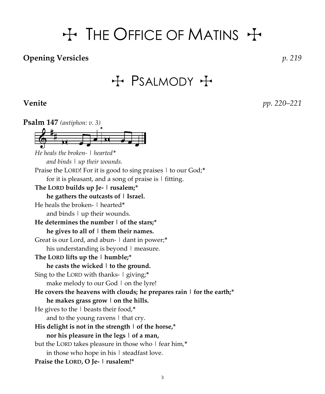# $H$  The Office of Matins  $H$

#### **Opening Versicles** *p. 219*

 $H$  PSALMODY  $H$ 

**Venite** *pp. 220–221*

**Psalm 147** *(antiphon: v. 3) He heals the broken- | hearted\* and binds | up their wounds.* Praise the LORD! For it is good to sing praises | to our God;**\*** for it is pleasant, and a song of praise is  $\vert$  fitting. **The LORD builds up Je- | rusalem;\* he gathers the outcasts of | Israel.** He heals the broken- | hearted**\*** and binds  $\vert$  up their wounds. **He determines the number | of the stars;\* he gives to all of | them their names.** Great is our Lord, and abun- | dant in power;**\*** his understanding is beyond  $\vert$  measure. **The LORD lifts up the | humble;\* he casts the wicked | to the ground.** Sing to the LORD with thanks- | giving;**\*** make melody to our God | on the lyre! **He covers the heavens with clouds; he prepares rain | for the earth;\* he makes grass grow | on the hills.** He gives to the | beasts their food,**\*** and to the young ravens  $\vert$  that cry. **His delight is not in the strength | of the horse,\* nor his pleasure in the legs | of a man,** but the LORD takes pleasure in those who | fear him,**\*** in those who hope in his  $\vert$  steadfast love. **Praise the LORD, O Je- | rusalem!\***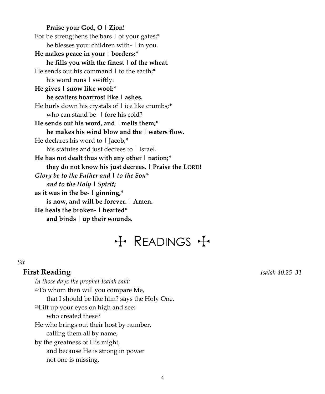**Praise your God, O | Zion!** For he strengthens the bars | of your gates;**\*** he blesses your children with- | in you. **He makes peace in your | borders;\* he fills you with the finest | of the wheat.** He sends out his command | to the earth;**\*** his word runs  $\vert$  swiftly. **He gives | snow like wool;\* he scatters hoarfrost like | ashes.** He hurls down his crystals of | ice like crumbs;**\*** who can stand be- | fore his cold? **He sends out his word, and | melts them;\* he makes his wind blow and the | waters flow.** He declares his word to | Jacob,**\*** his statutes and just decrees to  $\vert$  Israel. **He has not dealt thus with any other | nation;\* they do not know his just decrees. | Praise the LORD!** *Glory be to the Father and | to the Son\* and to the Holy | Spirit;* **as it was in the be- | ginning,\* is now, and will be forever. | Amen. He heals the broken- | hearted\* and binds | up their wounds.**

## $H$  READINGS  $H$

#### *Sit*

#### **First Reading** *Isaiah 40:25–31*

*In those days the prophet Isaiah said:* <sup>25</sup>To whom then will you compare Me, that I should be like him? says the Holy One. <sup>26</sup>Lift up your eyes on high and see: who created these? He who brings out their host by number, calling them all by name, by the greatness of His might, and because He is strong in power not one is missing.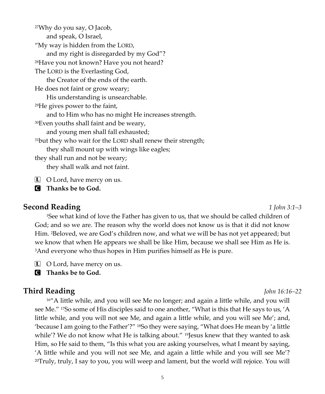<sup>27</sup>Why do you say, O Jacob, and speak, O Israel, "My way is hidden from the LORD, and my right is disregarded by my God"? <sup>28</sup>Have you not known? Have you not heard? The LORD is the Everlasting God, the Creator of the ends of the earth. He does not faint or grow weary; His understanding is unsearchable. <sup>29</sup>He gives power to the faint, and to Him who has no might He increases strength. <sup>30</sup>Even youths shall faint and be weary, and young men shall fall exhausted; <sup>31</sup>but they who wait for the LORD shall renew their strength; they shall mount up with wings like eagles; they shall run and not be weary; they shall walk and not faint.

**L** O Lord, have mercy on us.

C **Thanks be to God.**

#### **Second Reading** *1 John 3:1–3*

<sup>1</sup>See what kind of love the Father has given to us, that we should be called children of God; and so we are. The reason why the world does not know us is that it did not know Him. 2Beloved, we are God's children now, and what we will be has not yet appeared; but we know that when He appears we shall be like Him, because we shall see Him as He is. <sup>3</sup>And everyone who thus hopes in Him purifies himself as He is pure.

L O Lord, have mercy on us.

C **Thanks be to God.**

#### **Third Reading** *John 16:16–22*

<sup>16"</sup>A little while, and you will see Me no longer; and again a little while, and you will see Me." 17So some of His disciples said to one another, "What is this that He says to us, 'A little while, and you will not see Me, and again a little while, and you will see Me'; and, 'because I am going to the Father'?" 18So they were saying, "What does He mean by 'a little while'? We do not know what He is talking about." <sup>19</sup>Jesus knew that they wanted to ask Him, so He said to them, "Is this what you are asking yourselves, what I meant by saying, 'A little while and you will not see Me, and again a little while and you will see Me'? <sup>20</sup>Truly, truly, I say to you, you will weep and lament, but the world will rejoice. You will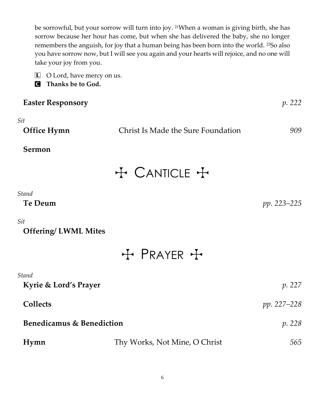be sorrowful, but your sorrow will turn into joy. <sup>21</sup>When a woman is giving birth, she has sorrow because her hour has come, but when she has delivered the baby, she no longer remembers the anguish, for joy that a human being has been born into the world. 22So also you have sorrow now, but I will see you again and your hearts will rejoice, and no one will take your joy from you.

- L O Lord, have mercy on us.
- C **Thanks be to God.**

| <b>Easter Responsory</b>  |                                    | p. 222      |
|---------------------------|------------------------------------|-------------|
| Sit<br><b>Office Hymn</b> | Christ Is Made the Sure Foundation | 909         |
| Sermon                    |                                    |             |
|                           | + CANTICLE +                       |             |
| Stand<br>Te Deum          |                                    | pp. 223–225 |

*Sit*

| <b>Offering/LWML Mites</b> |  |  |  |
|----------------------------|--|--|--|
|----------------------------|--|--|--|

+ PRAYER +

| Stand                     |                               |               |
|---------------------------|-------------------------------|---------------|
| Kyrie & Lord's Prayer     |                               | <i>p.</i> 227 |
| <b>Collects</b>           |                               | pp. 227–228   |
| Benedicamus & Benediction |                               | <i>p.</i> 228 |
| Hymn                      | Thy Works, Not Mine, O Christ | 565           |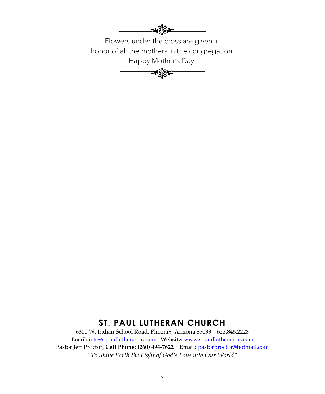

Flowers under the cross are given in honor of all the mothers in the congregation. Happy Mother's Day!



### **ST. PAUL LUTHERAN CHURCH**

6301 W. Indian School Road, Phoenix, Arizona 85033 | 623.846.2228 **Email:** [info@stpaullutheran-az.com](mailto:info@stpaullutheran-az.com) **Website:** [www.stpaullutheran-az.com](http://www.stpaullutheran-az.com/) Pastor Jeff Proctor, **Cell Phone: (260) 494-7622 Email:** [pastorproctor@hotmail.com](mailto:pastorproctor@hotmail.com) *"To Shine Forth the Light of God's Love into Our World"*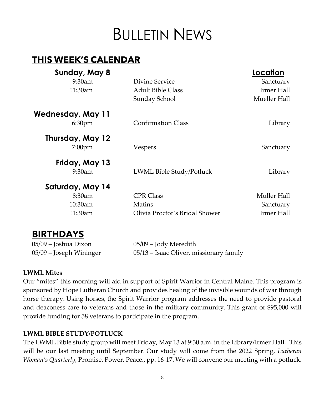# BULLETIN NEWS

### **THIS WEEK'S CALENDAR**

| Sunday, May 8      |                                | Location     |
|--------------------|--------------------------------|--------------|
| $9:30$ am          | Divine Service                 | Sanctuary    |
| 11:30am            | <b>Adult Bible Class</b>       | Irmer Hall   |
|                    | Sunday School                  | Mueller Hall |
| Wednesday, May 11  |                                |              |
| 6:30 <sub>pm</sub> | <b>Confirmation Class</b>      | Library      |
| Thursday, May 12   |                                |              |
| $7:00$ pm          | <b>Vespers</b>                 | Sanctuary    |
| Friday, May 13     |                                |              |
| $9:30$ am          | LWML Bible Study/Potluck       | Library      |
| Saturday, May 14   |                                |              |
| 8:30am             | <b>CPR Class</b>               | Muller Hall  |
| 10:30am            | Matins                         | Sanctuary    |
| 11:30am            | Olivia Proctor's Bridal Shower | Irmer Hall   |

### **BIRINDAIS**

05/09 – Joshua Dixon 05/09 – Jody Meredith

05/09 – Joseph Wininger 05/13 – Isaac Oliver, missionary family

#### **LWML Mites**

Our "mites" this morning will aid in support of Spirit Warrior in Central Maine. This program is sponsored by Hope Lutheran Church and provides healing of the invisible wounds of war through horse therapy. Using horses, the Spirit Warrior program addresses the need to provide pastoral and deaconess care to veterans and those in the military community. This grant of \$95,000 will provide funding for 58 veterans to participate in the program.

#### **LWML BIBLE STUDY/POTLUCK**

The LWML Bible study group will meet Friday, May 13 at 9:30 a.m. in the Library/Irmer Hall. This will be our last meeting until September. Our study will come from the 2022 Spring, *Lutheran Woman's Quarterly,* Promise. Power. Peace., pp. 16-17. We will convene our meeting with a potluck.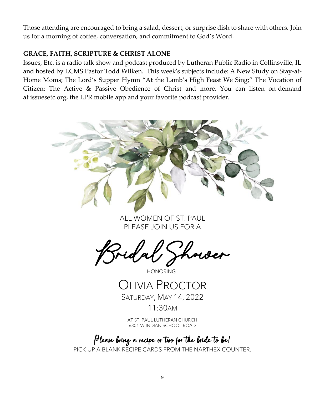Those attending are encouraged to bring a salad, dessert, or surprise dish to share with others. Join us for a morning of coffee, conversation, and commitment to God's Word.

#### **GRACE, FAITH, SCRIPTURE & CHRIST ALONE**

Issues, Etc. is a radio talk show and podcast produced by Lutheran Public Radio in Collinsville, IL and hosted by LCMS Pastor Todd Wilken. This week's subjects include: A New Study on Stay-at-Home Moms; The Lord's Supper Hymn "At the Lamb's High Feast We Sing;" The Vocation of Citizen; The Active & Passive Obedience of Christ and more. You can listen on-demand at [issuesetc.org,](https://r20.rs6.net/tn.jsp?f=001ihKvgEtH92m2UVkPu_g6s0zAXkuRM7oC1wCv4NVKH0LYIpuzI_tsT_QK9NsO1OveQ6sH-5fGgN4Dhfo9JhIDnW2u-3UHTqaSJ4hxudZ6-yWsLor6KofucvhPUm89atgo4VacEmy8GmUnc3at3BE1eg==&c=3jvjXJfGu-Q-kFWsa3bwQUIBjbR7XOZuQJL5TqbxxpXdrRz4uK6szQ==&ch=avFz1ITFrYYNpSJv6fON5cECdaU6ZAKN4vs73w5FM_8mJW9XzfXxdg==) the LPR mobile app and your favorite podcast provider.



ALL WOMEN OF ST. PAUL PLEASE JOIN US FOR A

Kower

#### HONORING

### OLIVIA PROCTOR SATURDAY, MAY 14, 2022

11:30AM

AT ST. PAUL LUTHERAN CHURCH 6301 W INDIAN SCHOOL ROAD

### Please bring a recipe or two for the bride to be!

PICK UP A BLANK RECIPE CARDS FROM THE NARTHEX COUNTER.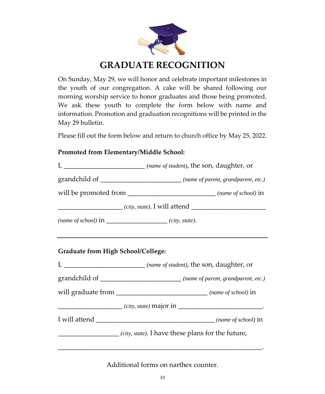

### **GRADUATE RECOGNITION**

On Sunday, May 29, we will honor and celebrate important milestones in the youth of our congregation. A cake will be shared following our morning worship service to honor graduates and those being promoted. We ask these youth to complete the form below with name and information. Promotion and graduation recognitions will be printed in the May 29 bulletin.

Please fill out the form below and return to church office by May 25, 2022.

#### **Promoted from Elementary/Middle School:**



Additional forms on narthex counter.